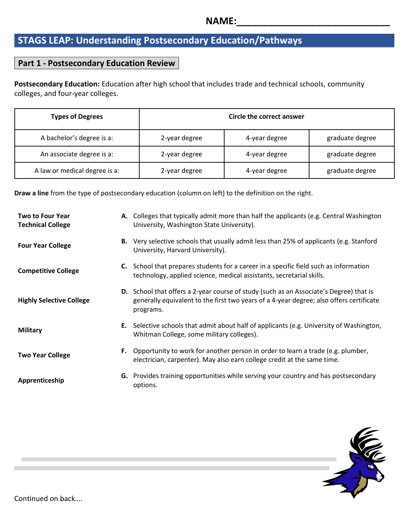## **STAGS LEAP: Understanding Postsecondary Education/Pathways**

## **Part 1 - Postsecondary Education Review**

**Postsecondary Education:** Education after high school that includes trade and technical schools, community colleges, and four-year colleges.

| <b>Types of Degrees</b>       | Circle the correct answer |               |                 |  |
|-------------------------------|---------------------------|---------------|-----------------|--|
| A bachelor's degree is a:     | 2-year degree             | 4-year degree | graduate degree |  |
| An associate degree is a:     | 2-year degree             | 4-year degree | graduate degree |  |
| A law or medical degree is a: | 2-year degree             | 4-year degree | graduate degree |  |

**Draw a line** from the type of postsecondary education (column on left) to the definition on the right.

| <b>Two to Four Year</b><br><b>Technical College</b> |    | A. Colleges that typically admit more than half the applicants (e.g. Central Washington<br>University, Washington State University).                                                                  |
|-----------------------------------------------------|----|-------------------------------------------------------------------------------------------------------------------------------------------------------------------------------------------------------|
| <b>Four Year College</b>                            |    | <b>B.</b> Very selective schools that usually admit less than 25% of applicants (e.g. Stanford<br>University, Harvard University).                                                                    |
| <b>Competitive College</b>                          |    | <b>C.</b> School that prepares students for a career in a specific field such as information<br>technology, applied science, medical assistants, secretarial skills.                                  |
| <b>Highly Selective College</b>                     |    | <b>D.</b> School that offers a 2-year course of study (such as an Associate's Degree) that is<br>generally equivalent to the first two years of a 4-year degree; also offers certificate<br>programs. |
| <b>Military</b>                                     |    | <b>E.</b> Selective schools that admit about half of applicants (e.g. University of Washington,<br>Whitman College, some military colleges).                                                          |
| <b>Two Year College</b>                             | F. | Opportunity to work for another person in order to learn a trade (e.g. plumber,<br>electrician, carpenter). May also earn college credit at the same time.                                            |
| Apprenticeship                                      |    | G. Provides training opportunities while serving your country and has postsecondary<br>options.                                                                                                       |